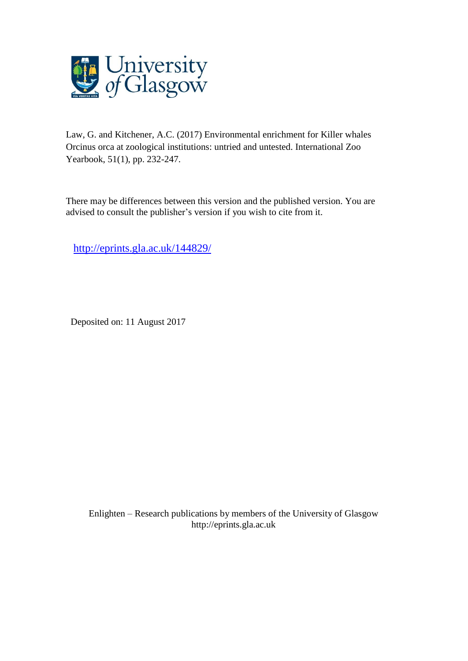

Law, G. and Kitchener, A.C. (2017) Environmental enrichment for Killer whales Orcinus orca at zoological institutions: untried and untested. International Zoo Yearbook, 51(1), pp. 232-247.

There may be differences between this version and the published version. You are advised to consult the publisher's version if you wish to cite from it.

<http://eprints.gla.ac.uk/144829/>

Deposited on: 11 August 2017

Enlighten – Research publications by members of the University of Glasgo[w](http://eprints.gla.ac.uk/) [http://eprints.gla.ac.uk](http://eprints.gla.ac.uk/)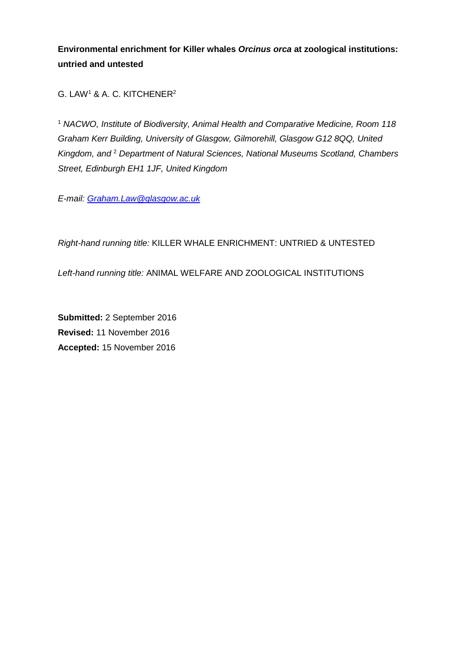**Environmental enrichment for Killer whales** *Orcinus orca* **at zoological institutions: untried and untested**

G. LAW<sup>1</sup> & A. C. KITCHENER<sup>2</sup>

<sup>1</sup> *NACWO, Institute of Biodiversity, Animal Health and Comparative Medicine, Room 118 Graham Kerr Building, University of Glasgow, Gilmorehill, Glasgow G12 8QQ, United Kingdom, and* <sup>2</sup> *Department of Natural Sciences, National Museums Scotland, Chambers Street, Edinburgh EH1 1JF, United Kingdom*

*E-mail: [Graham.Law@glasgow.ac.uk](mailto:Graham.Law@glasgow.ac.uk)*

*Right-hand running title:* KILLER WHALE ENRICHMENT: UNTRIED & UNTESTED

*Left-hand running title:* ANIMAL WELFARE AND ZOOLOGICAL INSTITUTIONS

**Submitted:** 2 September 2016 **Revised:** 11 November 2016 **Accepted:** 15 November 2016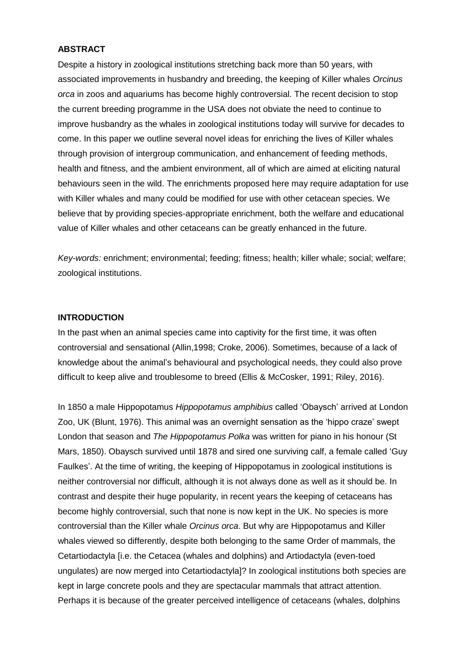# **ABSTRACT**

Despite a history in zoological institutions stretching back more than 50 years, with associated improvements in husbandry and breeding, the keeping of Killer whales *Orcinus orca* in zoos and aquariums has become highly controversial. The recent decision to stop the current breeding programme in the USA does not obviate the need to continue to improve husbandry as the whales in zoological institutions today will survive for decades to come. In this paper we outline several novel ideas for enriching the lives of Killer whales through provision of intergroup communication, and enhancement of feeding methods, health and fitness, and the ambient environment, all of which are aimed at eliciting natural behaviours seen in the wild. The enrichments proposed here may require adaptation for use with Killer whales and many could be modified for use with other cetacean species. We believe that by providing species-appropriate enrichment, both the welfare and educational value of Killer whales and other cetaceans can be greatly enhanced in the future.

*Key-words:* enrichment; environmental; feeding; fitness; health; killer whale; social; welfare; zoological institutions.

# **INTRODUCTION**

In the past when an animal species came into captivity for the first time, it was often controversial and sensational (Allin,1998; Croke, 2006). Sometimes, because of a lack of knowledge about the animal's behavioural and psychological needs, they could also prove difficult to keep alive and troublesome to breed (Ellis & McCosker, 1991; Riley, 2016).

In 1850 a male Hippopotamus *Hippopotamus amphibius* called 'Obaysch' arrived at London Zoo, UK (Blunt, 1976). This animal was an overnight sensation as the 'hippo craze' swept London that season and *The Hippopotamus Polka* was written for piano in his honour (St Mars, 1850). Obaysch survived until 1878 and sired one surviving calf, a female called 'Guy Faulkes'. At the time of writing, the keeping of Hippopotamus in zoological institutions is neither controversial nor difficult, although it is not always done as well as it should be. In contrast and despite their huge popularity, in recent years the keeping of cetaceans has become highly controversial, such that none is now kept in the UK. No species is more controversial than the Killer whale *Orcinus orca*. But why are Hippopotamus and Killer whales viewed so differently, despite both belonging to the same Order of mammals, the Cetartiodactyla [i.e. the Cetacea (whales and dolphins) and Artiodactyla (even-toed ungulates) are now merged into Cetartiodactyla]? In zoological institutions both species are kept in large concrete pools and they are spectacular mammals that attract attention. Perhaps it is because of the greater perceived intelligence of cetaceans (whales, dolphins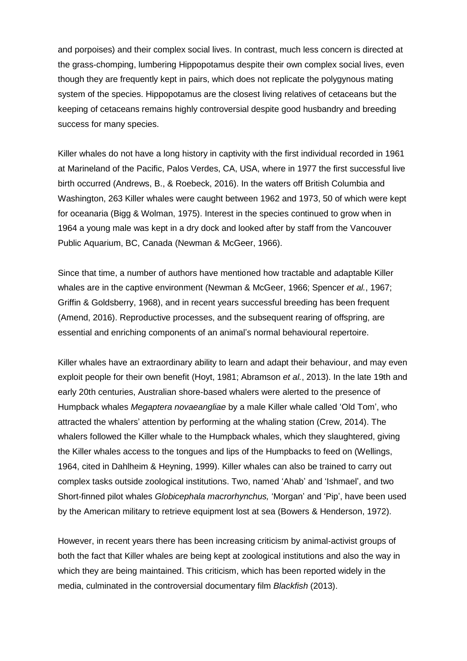and porpoises) and their complex social lives. In contrast, much less concern is directed at the grass-chomping, lumbering Hippopotamus despite their own complex social lives, even though they are frequently kept in pairs, which does not replicate the polygynous mating system of the species. Hippopotamus are the closest living relatives of cetaceans but the keeping of cetaceans remains highly controversial despite good husbandry and breeding success for many species.

Killer whales do not have a long history in captivity with the first individual recorded in 1961 at Marineland of the Pacific, Palos Verdes, CA, USA, where in 1977 the first successful live birth occurred (Andrews, B., & Roebeck, 2016). In the waters off British Columbia and Washington, 263 Killer whales were caught between 1962 and 1973, 50 of which were kept for oceanaria (Bigg & Wolman, 1975). Interest in the species continued to grow when in 1964 a young male was kept in a dry dock and looked after by staff from the Vancouver Public Aquarium, BC, Canada (Newman & McGeer, 1966).

Since that time, a number of authors have mentioned how tractable and adaptable Killer whales are in the captive environment (Newman & McGeer, 1966; Spencer *et al.*, 1967; Griffin & Goldsberry, 1968), and in recent years successful breeding has been frequent (Amend, 2016). Reproductive processes, and the subsequent rearing of offspring, are essential and enriching components of an animal's normal behavioural repertoire.

Killer whales have an extraordinary ability to learn and adapt their behaviour, and may even exploit people for their own benefit (Hoyt, 1981; Abramson *et al.*, 2013). In the late 19th and early 20th centuries, Australian shore-based whalers were alerted to the presence of Humpback whales *Megaptera novaeangliae* by a male Killer whale called 'Old Tom', who attracted the whalers' attention by performing at the whaling station (Crew, 2014). The whalers followed the Killer whale to the Humpback whales, which they slaughtered, giving the Killer whales access to the tongues and lips of the Humpbacks to feed on (Wellings, 1964, cited in Dahlheim & Heyning, 1999). Killer whales can also be trained to carry out complex tasks outside zoological institutions. Two, named 'Ahab' and 'Ishmael', and two Short-finned pilot whales *Globicephala macrorhynchus,* 'Morgan' and 'Pip', have been used by the American military to retrieve equipment lost at sea (Bowers & Henderson, 1972).

However, in recent years there has been increasing criticism by animal-activist groups of both the fact that Killer whales are being kept at zoological institutions and also the way in which they are being maintained. This criticism, which has been reported widely in the media, culminated in the controversial documentary film *Blackfish* (2013).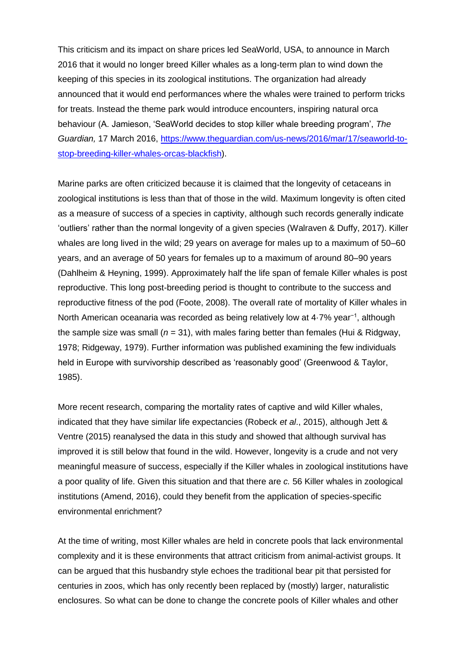This criticism and its impact on share prices led SeaWorld, USA, to announce in March 2016 that it would no longer breed Killer whales as a long-term plan to wind down the keeping of this species in its zoological institutions. The organization had already announced that it would end performances where the whales were trained to perform tricks for treats. Instead the theme park would introduce encounters, inspiring natural orca behaviour (A. Jamieson, 'SeaWorld decides to stop killer whale breeding program', *The Guardian,* 17 March 2016, [https://www.theguardian.com/us-news/2016/mar/17/seaworld-to](https://www.theguardian.com/us-news/2016/mar/17/seaworld-to-stop-breeding-killer-whales-orcas-blackfish)[stop-breeding-killer-whales-orcas-blackfish\)](https://www.theguardian.com/us-news/2016/mar/17/seaworld-to-stop-breeding-killer-whales-orcas-blackfish).

Marine parks are often criticized because it is claimed that the longevity of cetaceans in zoological institutions is less than that of those in the wild. Maximum longevity is often cited as a measure of success of a species in captivity, although such records generally indicate 'outliers' rather than the normal longevity of a given species (Walraven & Duffy, 2017). Killer whales are long lived in the wild; 29 years on average for males up to a maximum of 50–60 years, and an average of 50 years for females up to a maximum of around 80–90 years (Dahlheim & Heyning, 1999). Approximately half the life span of female Killer whales is post reproductive. This long post-breeding period is thought to contribute to the success and reproductive fitness of the pod (Foote, 2008). The overall rate of mortality of Killer whales in North American oceanaria was recorded as being relatively low at 4·7% year−1, although the sample size was small  $(n = 31)$ , with males faring better than females (Hui & Ridgway, 1978; Ridgeway, 1979). Further information was published examining the few individuals held in Europe with survivorship described as 'reasonably good' (Greenwood & Taylor, 1985).

More recent research, comparing the mortality rates of captive and wild Killer whales, indicated that they have similar life expectancies (Robeck *et al*., 2015), although Jett & Ventre (2015) reanalysed the data in this study and showed that although survival has improved it is still below that found in the wild. However, longevity is a crude and not very meaningful measure of success, especially if the Killer whales in zoological institutions have a poor quality of life. Given this situation and that there are *c.* 56 Killer whales in zoological institutions (Amend, 2016), could they benefit from the application of species-specific environmental enrichment?

At the time of writing, most Killer whales are held in concrete pools that lack environmental complexity and it is these environments that attract criticism from animal-activist groups. It can be argued that this husbandry style echoes the traditional bear pit that persisted for centuries in zoos, which has only recently been replaced by (mostly) larger, naturalistic enclosures. So what can be done to change the concrete pools of Killer whales and other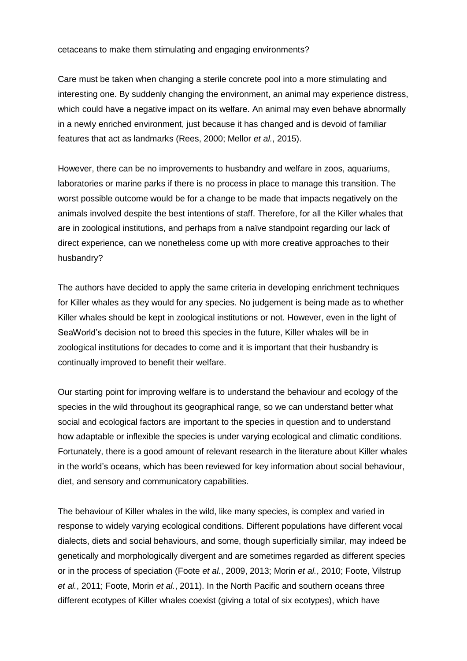### cetaceans to make them stimulating and engaging environments?

Care must be taken when changing a sterile concrete pool into a more stimulating and interesting one. By suddenly changing the environment, an animal may experience distress, which could have a negative impact on its welfare. An animal may even behave abnormally in a newly enriched environment, just because it has changed and is devoid of familiar features that act as landmarks (Rees, 2000; Mellor *et al.*, 2015).

However, there can be no improvements to husbandry and welfare in zoos, aquariums, laboratories or marine parks if there is no process in place to manage this transition. The worst possible outcome would be for a change to be made that impacts negatively on the animals involved despite the best intentions of staff. Therefore, for all the Killer whales that are in zoological institutions, and perhaps from a naïve standpoint regarding our lack of direct experience, can we nonetheless come up with more creative approaches to their husbandry?

The authors have decided to apply the same criteria in developing enrichment techniques for Killer whales as they would for any species. No judgement is being made as to whether Killer whales should be kept in zoological institutions or not. However, even in the light of SeaWorld's decision not to breed this species in the future, Killer whales will be in zoological institutions for decades to come and it is important that their husbandry is continually improved to benefit their welfare.

Our starting point for improving welfare is to understand the behaviour and ecology of the species in the wild throughout its geographical range, so we can understand better what social and ecological factors are important to the species in question and to understand how adaptable or inflexible the species is under varying ecological and climatic conditions. Fortunately, there is a good amount of relevant research in the literature about Killer whales in the world's oceans, which has been reviewed for key information about social behaviour, diet, and sensory and communicatory capabilities.

The behaviour of Killer whales in the wild, like many species, is complex and varied in response to widely varying ecological conditions. Different populations have different vocal dialects, diets and social behaviours, and some, though superficially similar, may indeed be genetically and morphologically divergent and are sometimes regarded as different species or in the process of speciation (Foote *et al.*, 2009, 2013; Morin *et al.*, 2010; Foote, Vilstrup *et al.*, 2011; Foote, Morin *et al.*, 2011). In the North Pacific and southern oceans three different ecotypes of Killer whales coexist (giving a total of six ecotypes), which have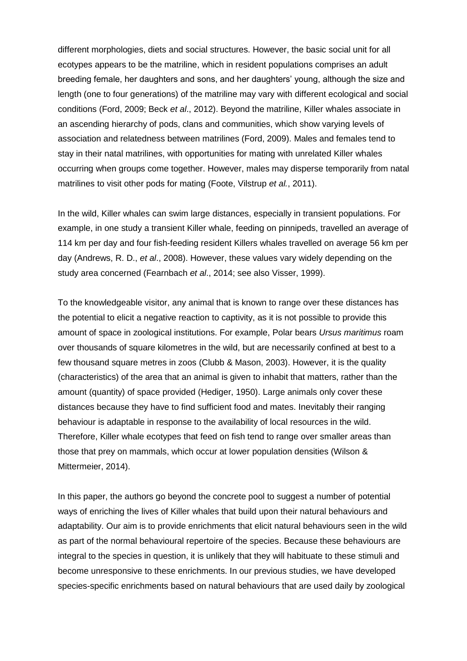different morphologies, diets and social structures. However, the basic social unit for all ecotypes appears to be the matriline, which in resident populations comprises an adult breeding female, her daughters and sons, and her daughters' young, although the size and length (one to four generations) of the matriline may vary with different ecological and social conditions (Ford, 2009; Beck *et al*., 2012). Beyond the matriline, Killer whales associate in an ascending hierarchy of pods, clans and communities, which show varying levels of association and relatedness between matrilines (Ford, 2009). Males and females tend to stay in their natal matrilines, with opportunities for mating with unrelated Killer whales occurring when groups come together. However, males may disperse temporarily from natal matrilines to visit other pods for mating (Foote, Vilstrup *et al.*, 2011).

In the wild, Killer whales can swim large distances, especially in transient populations. For example, in one study a transient Killer whale, feeding on pinnipeds, travelled an average of 114 km per day and four fish-feeding resident Killers whales travelled on average 56 km per day (Andrews, R. D., *et al*., 2008). However, these values vary widely depending on the study area concerned (Fearnbach *et al*., 2014; see also Visser, 1999).

To the knowledgeable visitor, any animal that is known to range over these distances has the potential to elicit a negative reaction to captivity, as it is not possible to provide this amount of space in zoological institutions. For example, Polar bears *Ursus maritimus* roam over thousands of square kilometres in the wild, but are necessarily confined at best to a few thousand square metres in zoos (Clubb & Mason, 2003). However, it is the quality (characteristics) of the area that an animal is given to inhabit that matters, rather than the amount (quantity) of space provided (Hediger, 1950). Large animals only cover these distances because they have to find sufficient food and mates. Inevitably their ranging behaviour is adaptable in response to the availability of local resources in the wild. Therefore, Killer whale ecotypes that feed on fish tend to range over smaller areas than those that prey on mammals, which occur at lower population densities (Wilson & Mittermeier, 2014).

In this paper, the authors go beyond the concrete pool to suggest a number of potential ways of enriching the lives of Killer whales that build upon their natural behaviours and adaptability. Our aim is to provide enrichments that elicit natural behaviours seen in the wild as part of the normal behavioural repertoire of the species. Because these behaviours are integral to the species in question, it is unlikely that they will habituate to these stimuli and become unresponsive to these enrichments. In our previous studies, we have developed species-specific enrichments based on natural behaviours that are used daily by zoological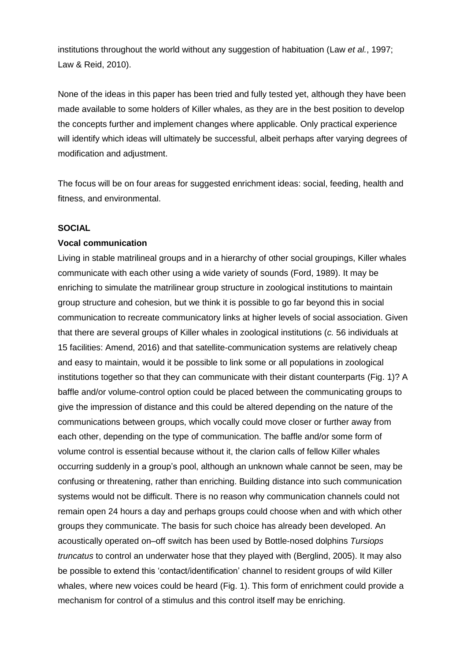institutions throughout the world without any suggestion of habituation (Law *et al.*, 1997; Law & Reid, 2010).

None of the ideas in this paper has been tried and fully tested yet, although they have been made available to some holders of Killer whales, as they are in the best position to develop the concepts further and implement changes where applicable. Only practical experience will identify which ideas will ultimately be successful, albeit perhaps after varying degrees of modification and adjustment.

The focus will be on four areas for suggested enrichment ideas: social, feeding, health and fitness, and environmental.

# **SOCIAL**

### **Vocal communication**

Living in stable matrilineal groups and in a hierarchy of other social groupings, Killer whales communicate with each other using a wide variety of sounds (Ford, 1989). It may be enriching to simulate the matrilinear group structure in zoological institutions to maintain group structure and cohesion, but we think it is possible to go far beyond this in social communication to recreate communicatory links at higher levels of social association. Given that there are several groups of Killer whales in zoological institutions (*c.* 56 individuals at 15 facilities: Amend, 2016) and that satellite-communication systems are relatively cheap and easy to maintain, would it be possible to link some or all populations in zoological institutions together so that they can communicate with their distant counterparts (Fig. 1)? A baffle and/or volume-control option could be placed between the communicating groups to give the impression of distance and this could be altered depending on the nature of the communications between groups, which vocally could move closer or further away from each other, depending on the type of communication. The baffle and/or some form of volume control is essential because without it, the clarion calls of fellow Killer whales occurring suddenly in a group's pool, although an unknown whale cannot be seen, may be confusing or threatening, rather than enriching. Building distance into such communication systems would not be difficult. There is no reason why communication channels could not remain open 24 hours a day and perhaps groups could choose when and with which other groups they communicate. The basis for such choice has already been developed. An acoustically operated on–off switch has been used by Bottle-nosed dolphins *Tursiops truncatus* to control an underwater hose that they played with (Berglind, 2005). It may also be possible to extend this 'contact/identification' channel to resident groups of wild Killer whales, where new voices could be heard (Fig. 1). This form of enrichment could provide a mechanism for control of a stimulus and this control itself may be enriching.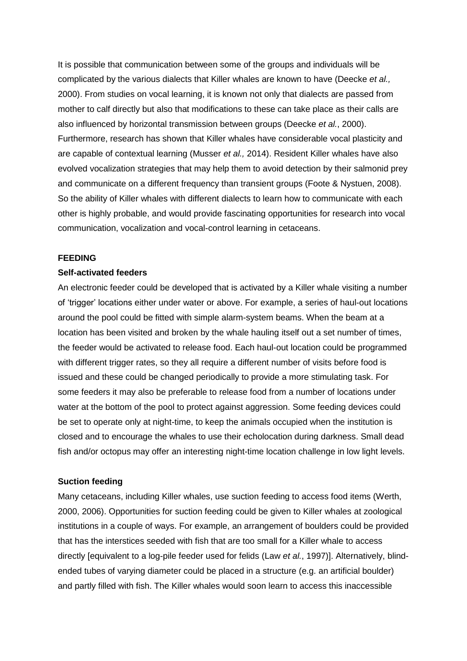It is possible that communication between some of the groups and individuals will be complicated by the various dialects that Killer whales are known to have (Deecke *et al.,*  2000). From studies on vocal learning, it is known not only that dialects are passed from mother to calf directly but also that modifications to these can take place as their calls are also influenced by horizontal transmission between groups (Deecke *et al.*, 2000). Furthermore, research has shown that Killer whales have considerable vocal plasticity and are capable of contextual learning (Musser *et al.,* 2014). Resident Killer whales have also evolved vocalization strategies that may help them to avoid detection by their salmonid prey and communicate on a different frequency than transient groups (Foote & Nystuen, 2008). So the ability of Killer whales with different dialects to learn how to communicate with each other is highly probable, and would provide fascinating opportunities for research into vocal communication, vocalization and vocal-control learning in cetaceans.

### **FEEDING**

#### **Self-activated feeders**

An electronic feeder could be developed that is activated by a Killer whale visiting a number of 'trigger' locations either under water or above. For example, a series of haul-out locations around the pool could be fitted with simple alarm-system beams. When the beam at a location has been visited and broken by the whale hauling itself out a set number of times, the feeder would be activated to release food. Each haul-out location could be programmed with different trigger rates, so they all require a different number of visits before food is issued and these could be changed periodically to provide a more stimulating task. For some feeders it may also be preferable to release food from a number of locations under water at the bottom of the pool to protect against aggression. Some feeding devices could be set to operate only at night-time, to keep the animals occupied when the institution is closed and to encourage the whales to use their echolocation during darkness. Small dead fish and/or octopus may offer an interesting night-time location challenge in low light levels.

#### **Suction feeding**

Many cetaceans, including Killer whales, use suction feeding to access food items (Werth, 2000, 2006). Opportunities for suction feeding could be given to Killer whales at zoological institutions in a couple of ways. For example, an arrangement of boulders could be provided that has the interstices seeded with fish that are too small for a Killer whale to access directly [equivalent to a log-pile feeder used for felids (Law *et al.*, 1997)]. Alternatively, blindended tubes of varying diameter could be placed in a structure (e.g. an artificial boulder) and partly filled with fish. The Killer whales would soon learn to access this inaccessible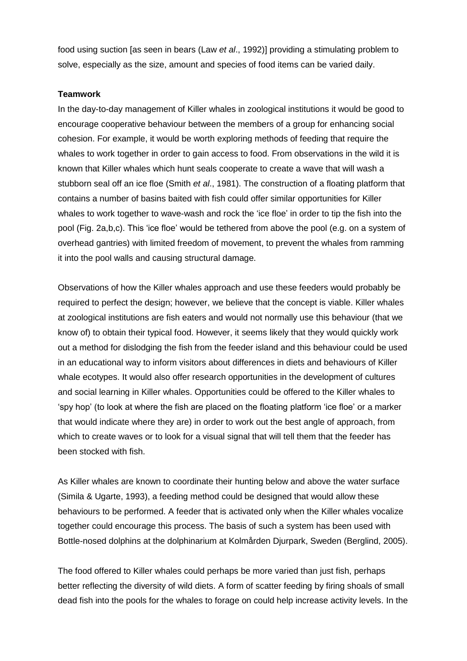food using suction [as seen in bears (Law *et al*., 1992)] providing a stimulating problem to solve, especially as the size, amount and species of food items can be varied daily.

### **Teamwork**

In the day-to-day management of Killer whales in zoological institutions it would be good to encourage cooperative behaviour between the members of a group for enhancing social cohesion. For example, it would be worth exploring methods of feeding that require the whales to work together in order to gain access to food. From observations in the wild it is known that Killer whales which hunt seals cooperate to create a wave that will wash a stubborn seal off an ice floe (Smith *et al*., 1981). The construction of a floating platform that contains a number of basins baited with fish could offer similar opportunities for Killer whales to work together to wave-wash and rock the 'ice floe' in order to tip the fish into the pool (Fig. 2a,b,c). This 'ice floe' would be tethered from above the pool (e.g. on a system of overhead gantries) with limited freedom of movement, to prevent the whales from ramming it into the pool walls and causing structural damage.

Observations of how the Killer whales approach and use these feeders would probably be required to perfect the design; however, we believe that the concept is viable. Killer whales at zoological institutions are fish eaters and would not normally use this behaviour (that we know of) to obtain their typical food. However, it seems likely that they would quickly work out a method for dislodging the fish from the feeder island and this behaviour could be used in an educational way to inform visitors about differences in diets and behaviours of Killer whale ecotypes. It would also offer research opportunities in the development of cultures and social learning in Killer whales. Opportunities could be offered to the Killer whales to 'spy hop' (to look at where the fish are placed on the floating platform 'ice floe' or a marker that would indicate where they are) in order to work out the best angle of approach, from which to create waves or to look for a visual signal that will tell them that the feeder has been stocked with fish.

As Killer whales are known to coordinate their hunting below and above the water surface (Simila & Ugarte, 1993), a feeding method could be designed that would allow these behaviours to be performed. A feeder that is activated only when the Killer whales vocalize together could encourage this process. The basis of such a system has been used with Bottle-nosed dolphins at the dolphinarium at Kolmården Djurpark, Sweden (Berglind, 2005).

The food offered to Killer whales could perhaps be more varied than just fish, perhaps better reflecting the diversity of wild diets. A form of scatter feeding by firing shoals of small dead fish into the pools for the whales to forage on could help increase activity levels. In the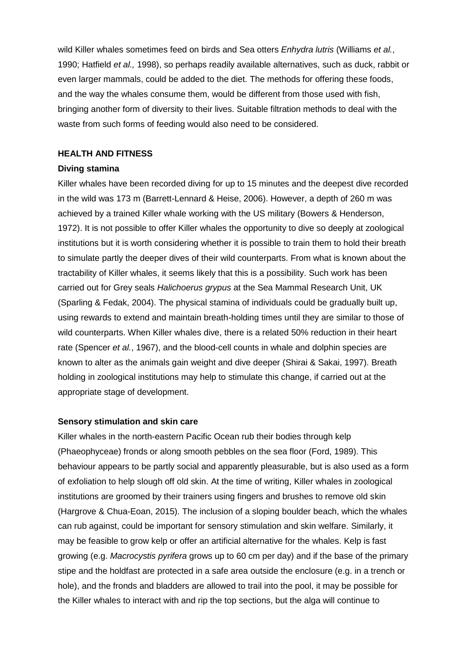wild Killer whales sometimes feed on birds and Sea otters *Enhydra lutris* (Williams *et al.*, 1990; Hatfield *et al.,* 1998), so perhaps readily available alternatives, such as duck, rabbit or even larger mammals, could be added to the diet. The methods for offering these foods, and the way the whales consume them, would be different from those used with fish, bringing another form of diversity to their lives. Suitable filtration methods to deal with the waste from such forms of feeding would also need to be considered.

### **HEALTH AND FITNESS**

## **Diving stamina**

Killer whales have been recorded diving for up to 15 minutes and the deepest dive recorded in the wild was 173 m (Barrett-Lennard & Heise, 2006). However, a depth of 260 m was achieved by a trained Killer whale working with the US military (Bowers & Henderson, 1972). It is not possible to offer Killer whales the opportunity to dive so deeply at zoological institutions but it is worth considering whether it is possible to train them to hold their breath to simulate partly the deeper dives of their wild counterparts. From what is known about the tractability of Killer whales, it seems likely that this is a possibility. Such work has been carried out for Grey seals *Halichoerus grypus* at the Sea Mammal Research Unit, UK (Sparling & Fedak, 2004). The physical stamina of individuals could be gradually built up, using rewards to extend and maintain breath-holding times until they are similar to those of wild counterparts. When Killer whales dive, there is a related 50% reduction in their heart rate (Spencer *et al.*, 1967), and the blood-cell counts in whale and dolphin species are known to alter as the animals gain weight and dive deeper (Shirai & Sakai, 1997). Breath holding in zoological institutions may help to stimulate this change, if carried out at the appropriate stage of development.

# **Sensory stimulation and skin care**

Killer whales in the north-eastern Pacific Ocean rub their bodies through kelp (Phaeophyceae) fronds or along smooth pebbles on the sea floor (Ford, 1989). This behaviour appears to be partly social and apparently pleasurable, but is also used as a form of exfoliation to help slough off old skin. At the time of writing, Killer whales in zoological institutions are groomed by their trainers using fingers and brushes to remove old skin (Hargrove & Chua-Eoan, 2015). The inclusion of a sloping boulder beach, which the whales can rub against, could be important for sensory stimulation and skin welfare. Similarly, it may be feasible to grow kelp or offer an artificial alternative for the whales. Kelp is fast growing (e.g. *Macrocystis pyrifera* grows up to 60 cm per day) and if the base of the primary stipe and the holdfast are protected in a safe area outside the enclosure (e.g. in a trench or hole), and the fronds and bladders are allowed to trail into the pool, it may be possible for the Killer whales to interact with and rip the top sections, but the alga will continue to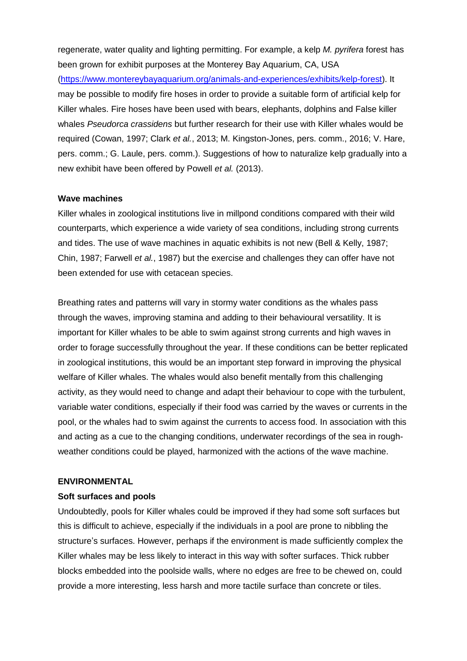regenerate, water quality and lighting permitting. For example, a kelp *M. pyrifera* forest has been grown for exhibit purposes at the Monterey Bay Aquarium, CA, USA

[\(https://www.montereybayaquarium.org/animals-and-experiences/exhibits/kelp-forest\)](https://www.montereybayaquarium.org/animals-and-experiences/exhibits/kelp-forest). It may be possible to modify fire hoses in order to provide a suitable form of artificial kelp for Killer whales. Fire hoses have been used with bears, elephants, dolphins and False killer whales *Pseudorca crassidens* but further research for their use with Killer whales would be required (Cowan, 1997; Clark *et al.*, 2013; M. Kingston-Jones, pers. comm., 2016; V. Hare, pers. comm.; G. Laule, pers. comm.). Suggestions of how to naturalize kelp gradually into a new exhibit have been offered by Powell *et al.* (2013).

### **Wave machines**

Killer whales in zoological institutions live in millpond conditions compared with their wild counterparts, which experience a wide variety of sea conditions, including strong currents and tides. The use of wave machines in aquatic exhibits is not new (Bell & Kelly, 1987; Chin, 1987; Farwell *et al.*, 1987) but the exercise and challenges they can offer have not been extended for use with cetacean species.

Breathing rates and patterns will vary in stormy water conditions as the whales pass through the waves, improving stamina and adding to their behavioural versatility. It is important for Killer whales to be able to swim against strong currents and high waves in order to forage successfully throughout the year. If these conditions can be better replicated in zoological institutions, this would be an important step forward in improving the physical welfare of Killer whales. The whales would also benefit mentally from this challenging activity, as they would need to change and adapt their behaviour to cope with the turbulent, variable water conditions, especially if their food was carried by the waves or currents in the pool, or the whales had to swim against the currents to access food. In association with this and acting as a cue to the changing conditions, underwater recordings of the sea in roughweather conditions could be played, harmonized with the actions of the wave machine.

### **ENVIRONMENTAL**

### **Soft surfaces and pools**

Undoubtedly, pools for Killer whales could be improved if they had some soft surfaces but this is difficult to achieve, especially if the individuals in a pool are prone to nibbling the structure's surfaces. However, perhaps if the environment is made sufficiently complex the Killer whales may be less likely to interact in this way with softer surfaces. Thick rubber blocks embedded into the poolside walls, where no edges are free to be chewed on, could provide a more interesting, less harsh and more tactile surface than concrete or tiles.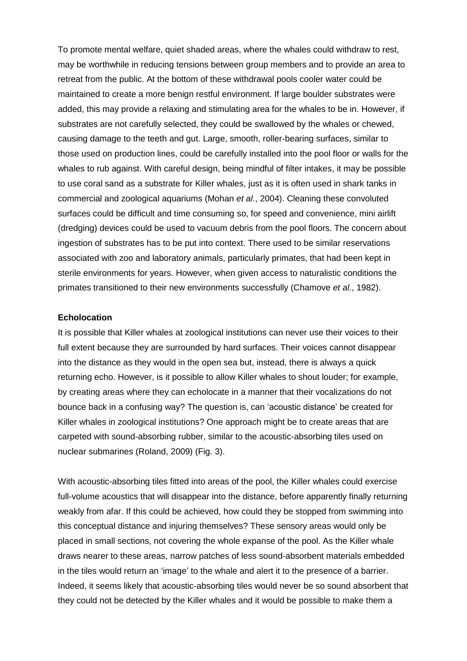To promote mental welfare, quiet shaded areas, where the whales could withdraw to rest, may be worthwhile in reducing tensions between group members and to provide an area to retreat from the public. At the bottom of these withdrawal pools cooler water could be maintained to create a more benign restful environment. If large boulder substrates were added, this may provide a relaxing and stimulating area for the whales to be in. However, if substrates are not carefully selected, they could be swallowed by the whales or chewed, causing damage to the teeth and gut. Large, smooth, roller-bearing surfaces, similar to those used on production lines, could be carefully installed into the pool floor or walls for the whales to rub against. With careful design, being mindful of filter intakes, it may be possible to use coral sand as a substrate for Killer whales, just as it is often used in shark tanks in commercial and zoological aquariums (Mohan *et al*., 2004). Cleaning these convoluted surfaces could be difficult and time consuming so, for speed and convenience, mini airlift (dredging) devices could be used to vacuum debris from the pool floors. The concern about ingestion of substrates has to be put into context. There used to be similar reservations associated with zoo and laboratory animals, particularly primates, that had been kept in sterile environments for years. However, when given access to naturalistic conditions the primates transitioned to their new environments successfully (Chamove *et al.*, 1982).

#### **Echolocation**

It is possible that Killer whales at zoological institutions can never use their voices to their full extent because they are surrounded by hard surfaces. Their voices cannot disappear into the distance as they would in the open sea but, instead, there is always a quick returning echo. However, is it possible to allow Killer whales to shout louder; for example, by creating areas where they can echolocate in a manner that their vocalizations do not bounce back in a confusing way? The question is, can 'acoustic distance' be created for Killer whales in zoological institutions? One approach might be to create areas that are carpeted with sound-absorbing rubber, similar to the acoustic-absorbing tiles used on nuclear submarines (Roland, 2009) (Fig. 3).

With acoustic-absorbing tiles fitted into areas of the pool, the Killer whales could exercise full-volume acoustics that will disappear into the distance, before apparently finally returning weakly from afar. If this could be achieved, how could they be stopped from swimming into this conceptual distance and injuring themselves? These sensory areas would only be placed in small sections, not covering the whole expanse of the pool. As the Killer whale draws nearer to these areas, narrow patches of less sound-absorbent materials embedded in the tiles would return an 'image' to the whale and alert it to the presence of a barrier. Indeed, it seems likely that acoustic-absorbing tiles would never be so sound absorbent that they could not be detected by the Killer whales and it would be possible to make them a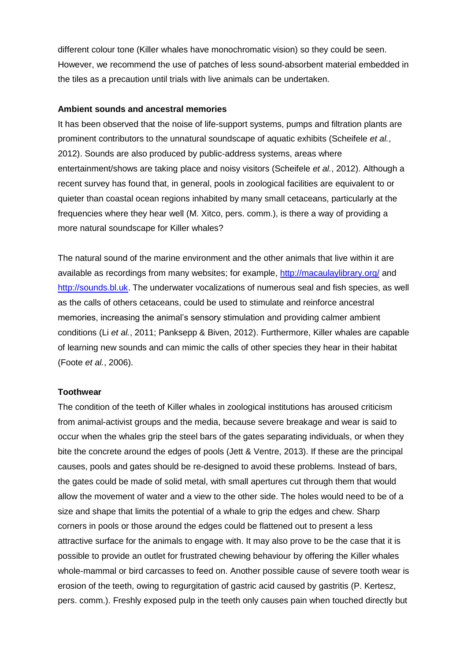different colour tone (Killer whales have monochromatic vision) so they could be seen. However, we recommend the use of patches of less sound-absorbent material embedded in the tiles as a precaution until trials with live animals can be undertaken.

### **Ambient sounds and ancestral memories**

It has been observed that the noise of life-support systems, pumps and filtration plants are prominent contributors to the unnatural soundscape of aquatic exhibits (Scheifele *et al.*, 2012). Sounds are also produced by public-address systems, areas where entertainment/shows are taking place and noisy visitors (Scheifele *et al.*, 2012). Although a recent survey has found that, in general, pools in zoological facilities are equivalent to or quieter than coastal ocean regions inhabited by many small cetaceans, particularly at the frequencies where they hear well (M. Xitco, pers. comm.), is there a way of providing a more natural soundscape for Killer whales?

The natural sound of the marine environment and the other animals that live within it are available as recordings from many websites; for example, <http://macaulaylibrary.org/> and [http://sounds.bl.uk.](http://sounds.bl.uk/) The underwater vocalizations of numerous seal and fish species, as well as the calls of others cetaceans, could be used to stimulate and reinforce ancestral memories, increasing the animal's sensory stimulation and providing calmer ambient conditions (Li *et al.*, 2011; Panksepp & Biven, 2012). Furthermore, Killer whales are capable of learning new sounds and can mimic the calls of other species they hear in their habitat (Foote *et al.*, 2006).

# **Toothwear**

The condition of the teeth of Killer whales in zoological institutions has aroused criticism from animal-activist groups and the media, because severe breakage and wear is said to occur when the whales grip the steel bars of the gates separating individuals, or when they bite the concrete around the edges of pools (Jett & Ventre, 2013). If these are the principal causes, pools and gates should be re-designed to avoid these problems. Instead of bars, the gates could be made of solid metal, with small apertures cut through them that would allow the movement of water and a view to the other side. The holes would need to be of a size and shape that limits the potential of a whale to grip the edges and chew. Sharp corners in pools or those around the edges could be flattened out to present a less attractive surface for the animals to engage with. It may also prove to be the case that it is possible to provide an outlet for frustrated chewing behaviour by offering the Killer whales whole-mammal or bird carcasses to feed on. Another possible cause of severe tooth wear is erosion of the teeth, owing to regurgitation of gastric acid caused by gastritis (P. Kertesz, pers. comm.). Freshly exposed pulp in the teeth only causes pain when touched directly but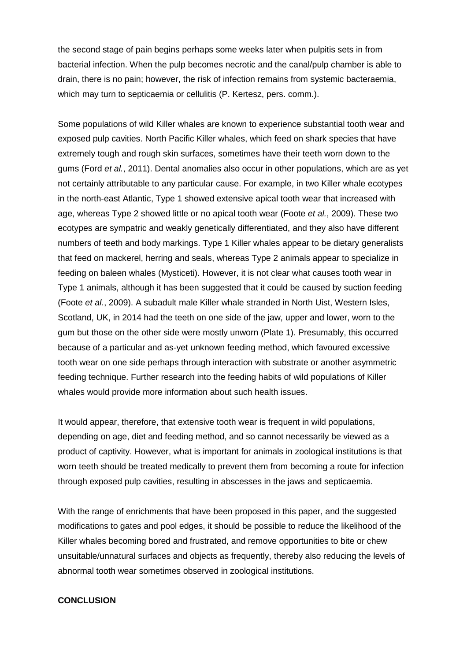the second stage of pain begins perhaps some weeks later when pulpitis sets in from bacterial infection. When the pulp becomes necrotic and the canal/pulp chamber is able to drain, there is no pain; however, the risk of infection remains from systemic bacteraemia, which may turn to septicaemia or cellulitis (P. Kertesz, pers. comm.).

Some populations of wild Killer whales are known to experience substantial tooth wear and exposed pulp cavities. North Pacific Killer whales, which feed on shark species that have extremely tough and rough skin surfaces, sometimes have their teeth worn down to the gums (Ford *et al.*, 2011). Dental anomalies also occur in other populations, which are as yet not certainly attributable to any particular cause. For example, in two Killer whale ecotypes in the north-east Atlantic, Type 1 showed extensive apical tooth wear that increased with age, whereas Type 2 showed little or no apical tooth wear (Foote *et al.*, 2009). These two ecotypes are sympatric and weakly genetically differentiated, and they also have different numbers of teeth and body markings. Type 1 Killer whales appear to be dietary generalists that feed on mackerel, herring and seals, whereas Type 2 animals appear to specialize in feeding on baleen whales (Mysticeti). However, it is not clear what causes tooth wear in Type 1 animals, although it has been suggested that it could be caused by suction feeding (Foote *et al.*, 2009). A subadult male Killer whale stranded in North Uist, Western Isles, Scotland, UK, in 2014 had the teeth on one side of the jaw, upper and lower, worn to the gum but those on the other side were mostly unworn (Plate 1). Presumably, this occurred because of a particular and as-yet unknown feeding method, which favoured excessive tooth wear on one side perhaps through interaction with substrate or another asymmetric feeding technique. Further research into the feeding habits of wild populations of Killer whales would provide more information about such health issues.

It would appear, therefore, that extensive tooth wear is frequent in wild populations, depending on age, diet and feeding method, and so cannot necessarily be viewed as a product of captivity. However, what is important for animals in zoological institutions is that worn teeth should be treated medically to prevent them from becoming a route for infection through exposed pulp cavities, resulting in abscesses in the jaws and septicaemia.

With the range of enrichments that have been proposed in this paper, and the suggested modifications to gates and pool edges, it should be possible to reduce the likelihood of the Killer whales becoming bored and frustrated, and remove opportunities to bite or chew unsuitable/unnatural surfaces and objects as frequently, thereby also reducing the levels of abnormal tooth wear sometimes observed in zoological institutions.

# **CONCLUSION**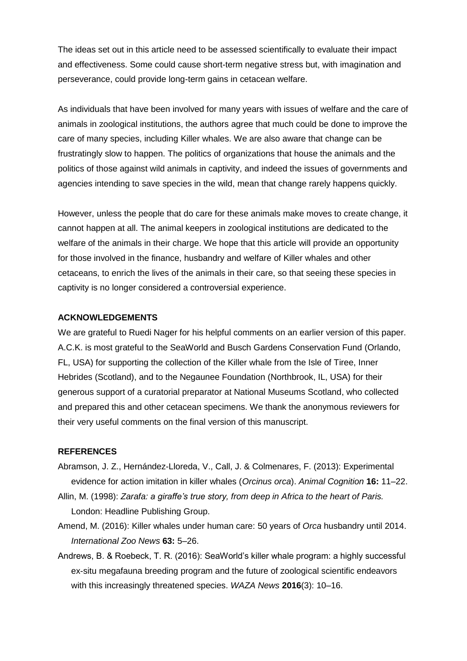The ideas set out in this article need to be assessed scientifically to evaluate their impact and effectiveness. Some could cause short-term negative stress but, with imagination and perseverance, could provide long-term gains in cetacean welfare.

As individuals that have been involved for many years with issues of welfare and the care of animals in zoological institutions, the authors agree that much could be done to improve the care of many species, including Killer whales. We are also aware that change can be frustratingly slow to happen. The politics of organizations that house the animals and the politics of those against wild animals in captivity, and indeed the issues of governments and agencies intending to save species in the wild, mean that change rarely happens quickly.

However, unless the people that do care for these animals make moves to create change, it cannot happen at all. The animal keepers in zoological institutions are dedicated to the welfare of the animals in their charge. We hope that this article will provide an opportunity for those involved in the finance, husbandry and welfare of Killer whales and other cetaceans, to enrich the lives of the animals in their care, so that seeing these species in captivity is no longer considered a controversial experience.

### **ACKNOWLEDGEMENTS**

We are grateful to Ruedi Nager for his helpful comments on an earlier version of this paper. A.C.K. is most grateful to the SeaWorld and Busch Gardens Conservation Fund (Orlando, FL, USA) for supporting the collection of the Killer whale from the Isle of Tiree, Inner Hebrides (Scotland), and to the Negaunee Foundation (Northbrook, IL, USA) for their generous support of a curatorial preparator at National Museums Scotland, who collected and prepared this and other cetacean specimens. We thank the anonymous reviewers for their very useful comments on the final version of this manuscript.

### **REFERENCES**

- Abramson, J. Z., Hernández-Lloreda, V., Call, J. & Colmenares, F. (2013): Experimental evidence for action imitation in killer whales (*Orcinus orca*). *Animal Cognition* **16:** 11–22.
- Allin, M. (1998): *Zarafa: a giraffe's true story, from deep in Africa to the heart of Paris.* London: Headline Publishing Group.
- Amend, M. (2016): Killer whales under human care: 50 years of *Orca* husbandry until 2014. *International Zoo News* **63:** 5–26.
- Andrews, B. & Roebeck, T. R. (2016): SeaWorld's killer whale program: a highly successful ex-situ megafauna breeding program and the future of zoological scientific endeavors with this increasingly threatened species. *WAZA News* **2016**(3): 10–16.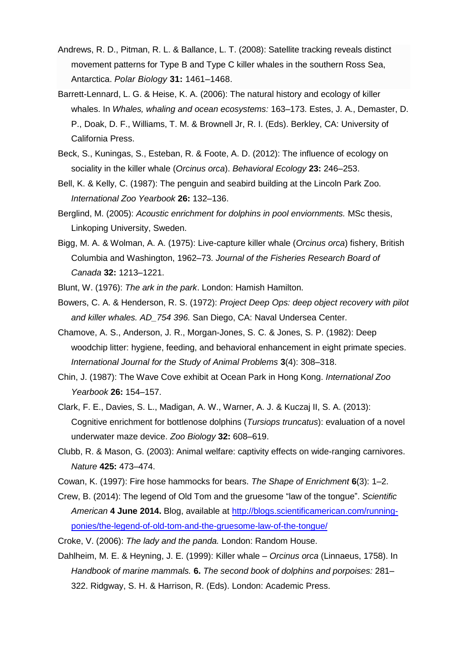- Andrews, R. D., Pitman, R. L. & Ballance, L. T. (2008): Satellite tracking reveals distinct movement patterns for Type B and Type C killer whales in the southern Ross Sea, Antarctica. *Polar Biology* **31:** 1461–1468.
- Barrett-Lennard, L. G. & Heise, K. A. (2006): The natural history and ecology of killer whales. In *Whales, whaling and ocean ecosystems:* 163–173. Estes, J. A., Demaster, D. P., Doak, D. F., Williams, T. M. & Brownell Jr, R. I. (Eds). Berkley, CA: University of California Press.
- Beck, S., Kuningas, S., Esteban, R. & Foote, A. D. (2012): The influence of ecology on sociality in the killer whale (*Orcinus orca*). *Behavioral Ecology* **23:** 246–253.
- Bell, K. & Kelly, C. (1987): The penguin and seabird building at the Lincoln Park Zoo. *International Zoo Yearbook* **26:** 132–136.
- Berglind, M. (2005): *Acoustic enrichment for dolphins in pool enviornments.* MSc thesis, Linkoping University, Sweden.
- Bigg, M. A. & Wolman, A. A. (1975): Live-capture killer whale (*Orcinus orca*) fishery, British Columbia and Washington, 1962–73. *Journal of the Fisheries Research Board of Canada* **32:** 1213–1221.
- Blunt, W. (1976): *The ark in the park*. London: Hamish Hamilton.
- Bowers, C. A. & Henderson, R. S. (1972): *Project Deep Ops: deep object recovery with pilot and killer whales. AD\_754 396.* San Diego, CA: Naval Undersea Center.
- Chamove, A. S., Anderson, J. R., Morgan-Jones, S. C. & Jones, S. P. (1982): Deep woodchip litter: hygiene, feeding, and behavioral enhancement in eight primate species. *International Journal for the Study of Animal Problems* **3**(4): 308–318.
- Chin, J. (1987): The Wave Cove exhibit at Ocean Park in Hong Kong. *International Zoo Yearbook* **26:** 154–157.
- Clark, F. E., Davies, S. L., Madigan, A. W., Warner, A. J. & Kuczaj II, S. A. (2013): Cognitive enrichment for bottlenose dolphins (*Tursiops truncatus*): evaluation of a novel underwater maze device. *Zoo Biology* **[32:](http://onlinelibrary.wiley.com/doi/10.1002/zoo.v32.6/issuetoc)** 608–619.
- Clubb, R. & Mason, G. (2003): Animal welfare: captivity effects on wide-ranging carnivores. *Nature* **425:** 473–474.
- Cowan, K. (1997): Fire hose hammocks for bears. *The Shape of Enrichment* **6**(3): 1–2.
- Crew, B. (2014): The legend of Old Tom and the gruesome "law of the tongue". *Scientific American* **4 June 2014.** Blog, available at [http://blogs.scientificamerican.com/running](http://blogs.scientificamerican.com/running-ponies/the-legend-of-old-tom-and-the-gruesome-law-of-the-tongue/)[ponies/the-legend-of-old-tom-and-the-gruesome-law-of-the-tongue/](http://blogs.scientificamerican.com/running-ponies/the-legend-of-old-tom-and-the-gruesome-law-of-the-tongue/)
- Croke, V. (2006): *The lady and the panda.* London: Random House.
- Dahlheim, M. E. & Heyning, J. E. (1999): Killer whale *Orcinus orca* (Linnaeus, 1758). In *Handbook of marine mammals.* **6.** *The second book of dolphins and porpoises:* 281– 322. Ridgway, S. H. & Harrison, R. (Eds). London: Academic Press.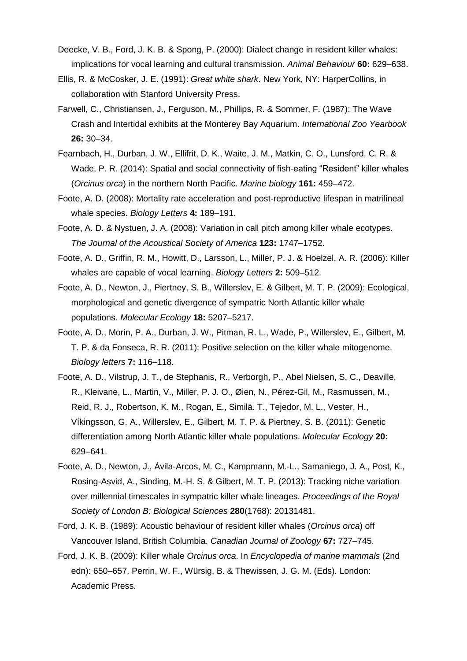- Deecke, V. B., Ford, J. K. B. & Spong, P. (2000): Dialect change in resident killer whales: implications for vocal learning and cultural transmission. *Animal Behaviour* **60:** 629–638.
- Ellis, R. & McCosker, J. E. (1991): *Great white shark*. New York, NY: HarperCollins, in collaboration with Stanford University Press.
- Farwell, C., Christiansen, J., Ferguson, M., Phillips, R. & Sommer, F. (1987): The Wave Crash and Intertidal exhibits at the Monterey Bay Aquarium. *International Zoo Yearbook* **26:** 30–34.
- Fearnbach, H., Durban, J. W., Ellifrit, D. K., Waite, J. M., Matkin, C. O., Lunsford, C. R. & Wade, P. R. (2014): Spatial and social connectivity of fish-eating "Resident" killer whales (*Orcinus orca*) in the northern North Pacific. *Marine biology* **161:** 459–472.
- Foote, A. D. (2008): Mortality rate acceleration and post-reproductive lifespan in matrilineal whale species. *Biology Letters* **4:** 189–191.
- Foote, A. D. & Nystuen, J. A. (2008): Variation in call pitch among killer whale ecotypes. *The Journal of the Acoustical Society of America* **123:** 1747–1752.
- Foote, A. D., Griffin, R. M., Howitt, D., Larsson, L., Miller, P. J. & Hoelzel, A. R. (2006): Killer whales are capable of vocal learning. *Biology Letters* **2:** 509–512.
- Foote, A. D., Newton, J., Piertney, S. B., Willerslev, E. & Gilbert, M. T. P. (2009): Ecological, morphological and genetic divergence of sympatric North Atlantic killer whale populations. *Molecular Ecology* **18:** 5207–5217.
- Foote, A. D., Morin, P. A., Durban, J. W., Pitman, R. L., Wade, P., Willerslev, E., Gilbert, M. T. P. & da Fonseca, R. R. (2011): Positive selection on the killer whale mitogenome. *Biology letters* **7:** 116–118.
- Foote, A. D., Vilstrup, J. T., de Stephanis, R., Verborgh, P., Abel Nielsen, S. C., Deaville, R., Kleivane, L., Martin, V., Miller, P. J. O., Øien, N., Pérez-Gil, M., Rasmussen, M., Reid, R. J., Robertson, K. M., Rogan, E., Similä. T., Tejedor, M. L., Vester, H., Víkingsson, G. A., Willerslev, E., Gilbert, M. T. P. & Piertney, S. B. (2011): Genetic differentiation among North Atlantic killer whale populations. *Molecular Ecology* **20:** 629–641.
- Foote, A. D., Newton, J., Ávila-Arcos, M. C., Kampmann, M.-L., Samaniego, J. A., Post, K., Rosing-Asvid, A., Sinding, M.-H. S. & Gilbert, M. T. P. (2013): Tracking niche variation over millennial timescales in sympatric killer whale lineages. *Proceedings of the Royal Society of London B: Biological Sciences* **280**(1768): 20131481.
- Ford, J. K. B. (1989): Acoustic behaviour of resident killer whales (*Orcinus orca*) off Vancouver Island, British Columbia. *Canadian Journal of Zoology* **67:** 727–745.
- Ford, J. K. B. (2009): Killer whale *Orcinus orca*. In *Encyclopedia of marine mammals* (2nd edn): 650–657. Perrin, W. F., Würsig, B. & Thewissen, J. G. M. (Eds). London: Academic Press.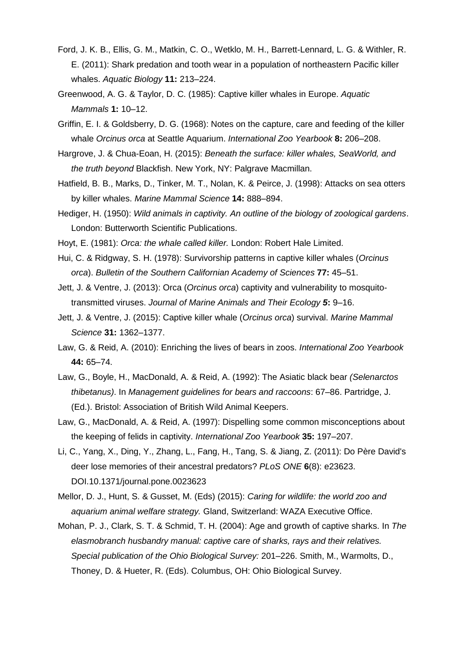- Ford, J. K. B., Ellis, G. M., Matkin, C. O., Wetklo, M. H., Barrett-Lennard, L. G. & Withler, R. E. (2011): Shark predation and tooth wear in a population of northeastern Pacific killer whales. *Aquatic Biology* **11:** 213–224.
- Greenwood, A. G. & Taylor, D. C. (1985): Captive killer whales in Europe. *Aquatic Mammals* **1:** 10–12.
- Griffin, E. I. & Goldsberry, D. G. (1968): Notes on the capture, care and feeding of the killer whale *Orcinus orca* at Seattle Aquarium. *International Zoo Yearbook* **8:** 206–208.
- Hargrove, J. & Chua-Eoan, H. (2015): *Beneath the surface: killer whales, SeaWorld, and the truth beyond* Blackfish. New York, NY: Palgrave Macmillan.
- Hatfield, B. B., Marks, D., Tinker, M. T., Nolan, K. & Peirce, J. (1998): Attacks on sea otters by killer whales. *Marine Mammal Science* **14:** 888–894.
- Hediger, H. (1950): *Wild animals in captivity. An outline of the biology of zoological gardens*. London: Butterworth Scientific Publications.
- Hoyt, E. (1981): *Orca: the whale called killer.* London: Robert Hale Limited.
- Hui, C. & Ridgway, S. H. (1978): Survivorship patterns in captive killer whales (*Orcinus orca*). *Bulletin of the Southern Californian Academy of Sciences* **77:** 45–51.
- Jett, J. & Ventre, J. (2013): Orca (*Orcinus orca*) captivity and vulnerability to mosquitotransmitted viruses. *Journal of Marine Animals and Their Ecology 5***:** 9–16.
- Jett, J. & Ventre, J. (2015): Captive killer whale (*Orcinus orca*) survival. *Marine Mammal Science* **31:** 1362–1377.
- Law, G. & Reid, A. (2010): Enriching the lives of bears in zoos. *International Zoo Yearbook* **44:** 65–74.
- Law, G., Boyle, H., MacDonald, A. & Reid, A. (1992): The Asiatic black bear *(Selenarctos thibetanus)*. In *Management guidelines for bears and raccoons*: 67–86. Partridge, J. (Ed.). Bristol: Association of British Wild Animal Keepers.
- Law, G., MacDonald, A. & Reid, A. (1997): Dispelling some common misconceptions about the keeping of felids in captivity. *International Zoo Yearbook* **35:** 197–207.
- Li, C., Yang, X., Ding, Y., Zhang, L., Fang, H., Tang, S. & Jiang, Z. (2011): Do Père David's deer lose memories of their ancestral predators? *PLoS ONE* **6**(8): e23623. DOI.10.1371/journal.pone.0023623
- Mellor, D. J., Hunt, S. & Gusset, M. (Eds) (2015): *Caring for wildlife: the world zoo and aquarium animal welfare strategy.* Gland, Switzerland: WAZA Executive Office.
- Mohan, P. J., Clark, S. T. & Schmid, T. H. (2004): Age and growth of captive sharks. In *The elasmobranch husbandry manual: captive care of sharks, rays and their relatives. Special publication of the Ohio Biological Survey:* 201–226. Smith, M., Warmolts, D., Thoney, D. & Hueter, R. (Eds). Columbus, OH: Ohio Biological Survey.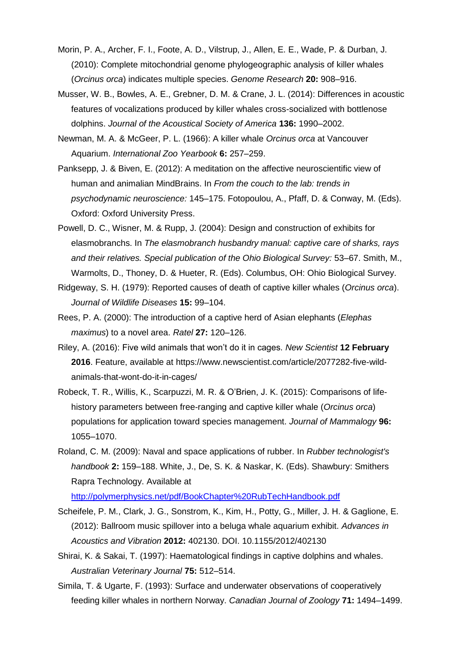- Morin, P. A., Archer, F. I., Foote, A. D., Vilstrup, J., Allen, E. E., Wade, P. & Durban, J. (2010): Complete mitochondrial genome phylogeographic analysis of killer whales (*Orcinus orca*) indicates multiple species. *Genome Research* **20:** 908–916.
- Musser, W. B., Bowles, A. E., Grebner, D. M. & Crane, J. L. (2014): Differences in acoustic features of vocalizations produced by killer whales cross-socialized with bottlenose dolphins. *Journal of the Acoustical Society of America* **136:** 1990–2002.
- Newman, M. A. & McGeer, P. L. (1966): A killer whale *Orcinus orca* at Vancouver Aquarium. *International Zoo Yearbook* **6:** 257–259.
- Panksepp, J. & Biven, E. (2012): A meditation on the affective neuroscientific view of human and animalian MindBrains. In *From the couch to the lab: trends in psychodynamic neuroscience:* 145–175. Fotopoulou, A., Pfaff, D. & Conway, M. (Eds). Oxford: Oxford University Press.
- Powell, D. C., Wisner, M. & Rupp, J. (2004): Design and construction of exhibits for elasmobranchs. In *The elasmobranch husbandry manual: captive care of sharks, rays and their relatives. Special publication of the Ohio Biological Survey:* 53–67. Smith, M., Warmolts, D., Thoney, D. & Hueter, R. (Eds). Columbus, OH: Ohio Biological Survey.
- Ridgeway, S. H. (1979): Reported causes of death of captive killer whales (*Orcinus orca*). *Journal of Wildlife Diseases* **15:** 99–104.
- Rees, P. A. (2000): The introduction of a captive herd of Asian elephants (*Elephas maximus*) to a novel area. *Ratel* **27:** 120–126.
- Riley, A. (2016): Five wild animals that won't do it in cages. *New Scientist* **12 February 2016**. Feature, available at https://www.newscientist.com/article/2077282-five-wildanimals-that-wont-do-it-in-cages/
- Robeck, T. R., Willis, K., Scarpuzzi, M. R. & O'Brien, J. K. (2015): Comparisons of lifehistory parameters between free-ranging and captive killer whale (*Orcinus orca*) populations for application toward species management. *Journal of Mammalogy* **96:** 1055–1070.
- Roland, C. M. (2009): Naval and space applications of rubber. In *Rubber technologist's handbook* **2:** 159–188. White, J., De, S. K. & Naskar, K. (Eds). Shawbury: Smithers Rapra Technology. Available at

<http://polymerphysics.net/pdf/BookChapter%20RubTechHandbook.pdf>

- Scheifele, P. M., Clark, J. G., Sonstrom, K., Kim, H., Potty, G., Miller, J. H. & Gaglione, E. (2012): Ballroom music spillover into a beluga whale aquarium exhibit. *Advances in Acoustics and Vibration* **2012:** 402130. DOI. 10.1155/2012/402130
- Shirai, K. & Sakai, T. (1997): Haematological findings in captive dolphins and whales. *Australian Veterinary Journal* **75:** 512–514.
- Simila, T. & Ugarte, F. (1993): Surface and underwater observations of cooperatively feeding killer whales in northern Norway. *Canadian Journal of Zoology* **71:** 1494–1499.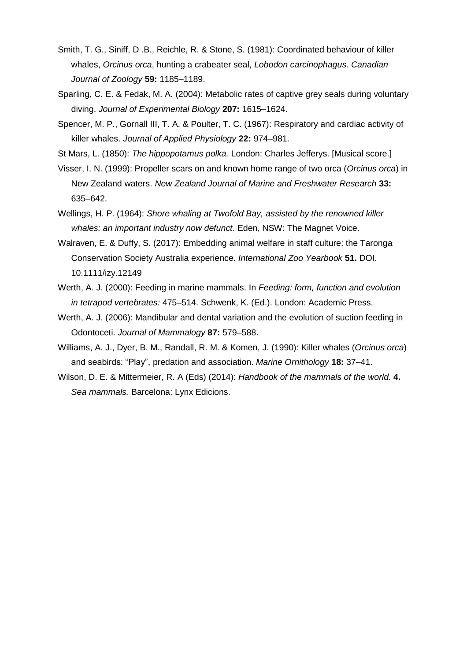- Smith, T. G., Siniff, D .B., Reichle, R. & Stone, S. (1981): Coordinated behaviour of killer whales, *Orcinus orca*, hunting a crabeater seal, *Lobodon carcinophagus*. *Canadian Journal of Zoology* **59:** 1185–1189.
- Sparling, C. E. & Fedak, M. A. (2004): Metabolic rates of captive grey seals during voluntary diving. *Journal of Experimental Biology* **207:** 1615–1624.
- Spencer, M. P., Gornall III, T. A. & Poulter, T. C. (1967): Respiratory and cardiac activity of killer whales. *Journal of Applied Physiology* **22:** 974–981.
- St Mars, L. (1850): *The hippopotamus polka.* London: Charles Jefferys. [Musical score.]
- Visser, I. N. (1999): Propeller scars on and known home range of two orca (*Orcinus orca*) in New Zealand waters. *New Zealand Journal of Marine and Freshwater Research* **33:** 635–642.
- Wellings, H. P. (1964): *Shore whaling at Twofold Bay, assisted by the renowned killer whales: an important industry now defunct.* Eden, NSW: The Magnet Voice.
- Walraven, E. & Duffy, S. (2017): Embedding animal welfare in staff culture: the Taronga Conservation Society Australia experience. *International Zoo Yearbook* **51.** DOI. 10.1111/izy.12149
- Werth, A. J. (2000): Feeding in marine mammals. In *Feeding: form, function and evolution in tetrapod vertebrates:* 475–514. Schwenk, K. (Ed.). London: Academic Press.
- Werth, A. J. (2006): Mandibular and dental variation and the evolution of suction feeding in Odontoceti. *Journal of Mammalogy* **87:** 579–588.
- Williams, A. J., Dyer, B. M., Randall, R. M. & Komen, J. (1990): Killer whales (*Orcinus orca*) and seabirds: "Play", predation and association. *Marine Ornithology* **18:** 37–41.
- Wilson, D. E. & Mittermeier, R. A (Eds) (2014): *Handbook of the mammals of the world.* **4.** *Sea mammals.* Barcelona: Lynx Edicions.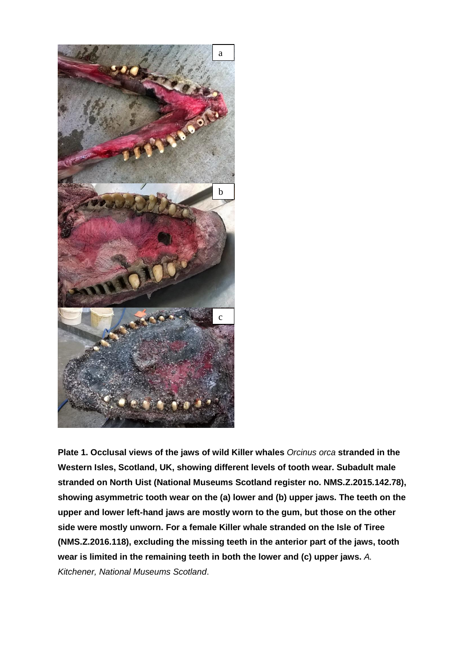

**Plate 1. Occlusal views of the jaws of wild Killer whales** *Orcinus orca* **stranded in the Western Isles, Scotland, UK, showing different levels of tooth wear. Subadult male stranded on North Uist (National Museums Scotland register no. NMS.Z.2015.142.78), showing asymmetric tooth wear on the (a) lower and (b) upper jaws. The teeth on the upper and lower left-hand jaws are mostly worn to the gum, but those on the other side were mostly unworn. For a female Killer whale stranded on the Isle of Tiree (NMS.Z.2016.118), excluding the missing teeth in the anterior part of the jaws, tooth wear is limited in the remaining teeth in both the lower and (c) upper jaws.** *A. Kitchener, National Museums Scotland*.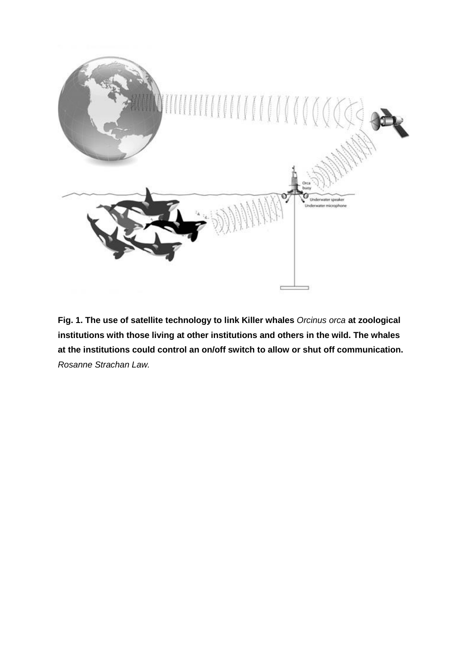

**Fig. 1. The use of satellite technology to link Killer whales** *Orcinus orca* **at zoological institutions with those living at other institutions and others in the wild. The whales at the institutions could control an on/off switch to allow or shut off communication.**  *Rosanne Strachan Law.*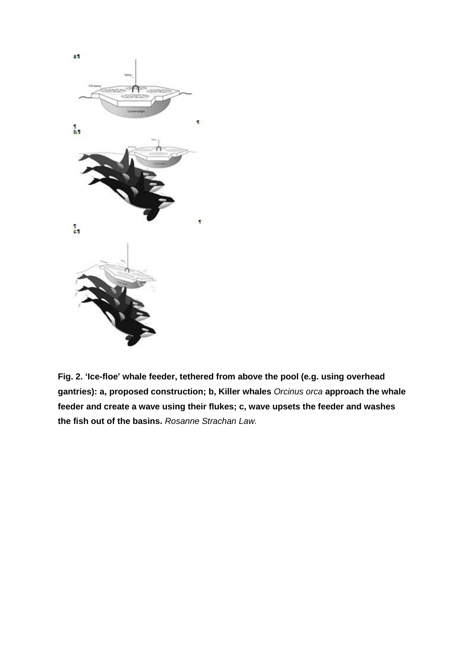

**Fig. 2. 'Ice-floe' whale feeder, tethered from above the pool (e.g. using overhead gantries): a, proposed construction; b, Killer whales** *Orcinus orca* **approach the whale feeder and create a wave using their flukes; c, wave upsets the feeder and washes the fish out of the basins.** *Rosanne Strachan Law.*